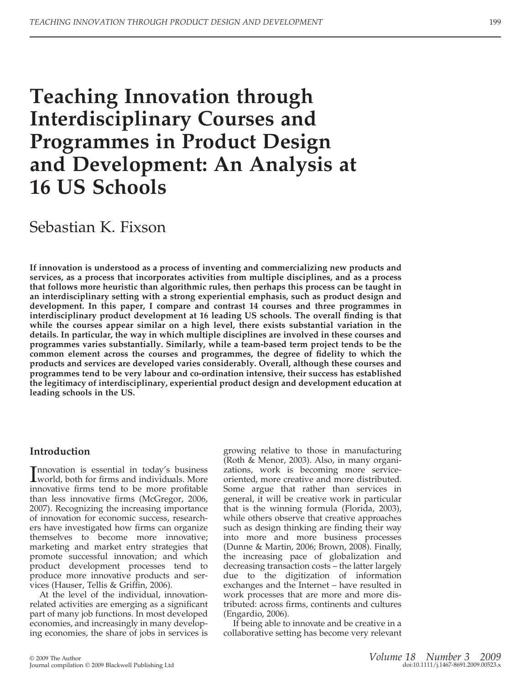# **Teaching Innovation through Interdisciplinary Courses and Programmes in Product Design and Development: An Analysis at 16 US Schools**

# Sebastian K. Fixson

**If innovation is understood as a process of inventing and commercializing new products and services, as a process that incorporates activities from multiple disciplines, and as a process that follows more heuristic than algorithmic rules, then perhaps this process can be taught in an interdisciplinary setting with a strong experiential emphasis, such as product design and development. In this paper, I compare and contrast 14 courses and three programmes in interdisciplinary product development at 16 leading US schools. The overall finding is that while the courses appear similar on a high level, there exists substantial variation in the details. In particular, the way in which multiple disciplines are involved in these courses and programmes varies substantially. Similarly, while a team-based term project tends to be the common element across the courses and programmes, the degree of fidelity to which the products and services are developed varies considerably. Overall, although these courses and programmes tend to be very labour and co-ordination intensive, their success has established the legitimacy of interdisciplinary, experiential product design and development education at leading schools in the US.**

# **Introduction**

Innovation is essential in today's business<br>world, both for firms and individuals. More world, both for firms and individuals. More innovative firms tend to be more profitable than less innovative firms (McGregor, 2006, 2007). Recognizing the increasing importance of innovation for economic success, researchers have investigated how firms can organize themselves to become more innovative; marketing and market entry strategies that promote successful innovation; and which product development processes tend to produce more innovative products and services (Hauser, Tellis & Griffin, 2006).

At the level of the individual, innovationrelated activities are emerging as a significant part of many job functions. In most developed economies, and increasingly in many developing economies, the share of jobs in services is

growing relative to those in manufacturing (Roth & Menor, 2003). Also, in many organizations, work is becoming more serviceoriented, more creative and more distributed. Some argue that rather than services in general, it will be creative work in particular that is the winning formula (Florida, 2003), while others observe that creative approaches such as design thinking are finding their way into more and more business processes (Dunne & Martin, 2006; Brown, 2008). Finally, the increasing pace of globalization and decreasing transaction costs – the latter largely due to the digitization of information exchanges and the Internet – have resulted in work processes that are more and more distributed: across firms, continents and cultures (Engardio, 2006).

If being able to innovate and be creative in a collaborative setting has become very relevant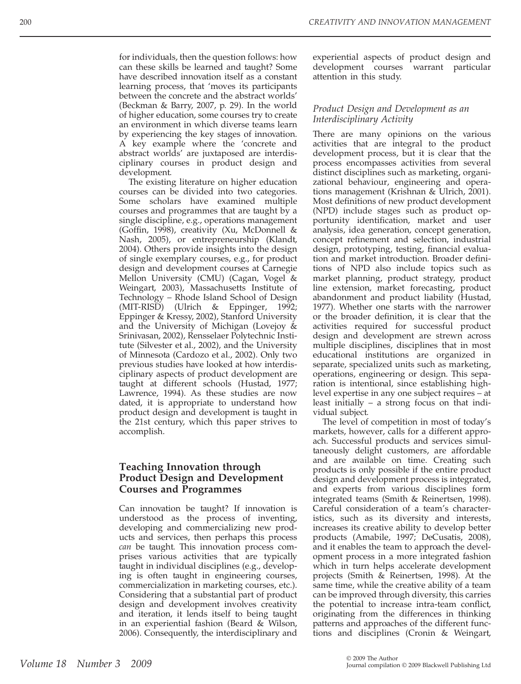for individuals, then the question follows: how can these skills be learned and taught? Some have described innovation itself as a constant learning process, that 'moves its participants between the concrete and the abstract worlds' (Beckman & Barry, 2007, p. 29). In the world of higher education, some courses try to create an environment in which diverse teams learn by experiencing the key stages of innovation. A key example where the 'concrete and abstract worlds' are juxtaposed are interdisciplinary courses in product design and development.

The existing literature on higher education courses can be divided into two categories. Some scholars have examined multiple courses and programmes that are taught by a single discipline, e.g., operations management (Goffin, 1998), creativity (Xu, McDonnell & Nash, 2005), or entrepreneurship (Klandt, 2004). Others provide insights into the design of single exemplary courses, e.g., for product design and development courses at Carnegie Mellon University (CMU) (Cagan, Vogel & Weingart, 2003), Massachusetts Institute of Technology – Rhode Island School of Design (MIT-RISD) (Ulrich & Eppinger, 1992; Eppinger & Kressy, 2002), Stanford University and the University of Michigan (Lovejoy & Srinivasan, 2002), Rensselaer Polytechnic Institute (Silvester et al., 2002), and the University of Minnesota (Cardozo et al., 2002). Only two previous studies have looked at how interdisciplinary aspects of product development are taught at different schools (Hustad, 1977; Lawrence, 1994). As these studies are now dated, it is appropriate to understand how product design and development is taught in the 21st century, which this paper strives to accomplish.

# **Teaching Innovation through Product Design and Development Courses and Programmes**

Can innovation be taught? If innovation is understood as the process of inventing, developing and commercializing new products and services, then perhaps this process *can* be taught. This innovation process comprises various activities that are typically taught in individual disciplines (e.g., developing is often taught in engineering courses, commercialization in marketing courses, etc.). Considering that a substantial part of product design and development involves creativity and iteration, it lends itself to being taught in an experiential fashion (Beard & Wilson, 2006). Consequently, the interdisciplinary and experiential aspects of product design and development courses warrant particular attention in this study.

# *Product Design and Development as an Interdisciplinary Activity*

There are many opinions on the various activities that are integral to the product development process, but it is clear that the process encompasses activities from several distinct disciplines such as marketing, organizational behaviour, engineering and operations management (Krishnan & Ulrich, 2001). Most definitions of new product development (NPD) include stages such as product opportunity identification, market and user analysis, idea generation, concept generation, concept refinement and selection, industrial design, prototyping, testing, financial evaluation and market introduction. Broader definitions of NPD also include topics such as market planning, product strategy, product line extension, market forecasting, product abandonment and product liability (Hustad, 1977). Whether one starts with the narrower or the broader definition, it is clear that the activities required for successful product design and development are strewn across multiple disciplines, disciplines that in most educational institutions are organized in separate, specialized units such as marketing, operations, engineering or design. This separation is intentional, since establishing highlevel expertise in any one subject requires – at least initially – a strong focus on that individual subject.

The level of competition in most of today's markets, however, calls for a different approach. Successful products and services simultaneously delight customers, are affordable and are available on time. Creating such products is only possible if the entire product design and development process is integrated, and experts from various disciplines form integrated teams (Smith & Reinertsen, 1998). Careful consideration of a team's characteristics, such as its diversity and interests, increases its creative ability to develop better products (Amabile, 1997; DeCusatis, 2008), and it enables the team to approach the development process in a more integrated fashion which in turn helps accelerate development projects (Smith & Reinertsen, 1998). At the same time, while the creative ability of a team can be improved through diversity, this carries the potential to increase intra-team conflict, originating from the differences in thinking patterns and approaches of the different functions and disciplines (Cronin & Weingart,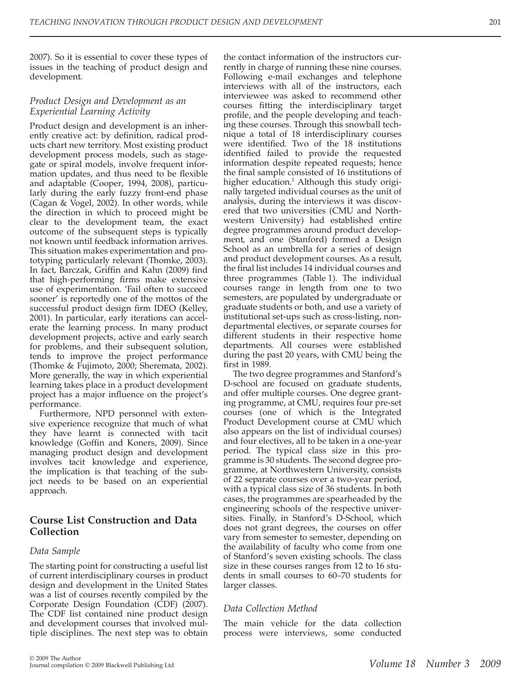2007). So it is essential to cover these types of issues in the teaching of product design and development.

#### *Product Design and Development as an Experiential Learning Activity*

Product design and development is an inherently creative act: by definition, radical products chart new territory. Most existing product development process models, such as stagegate or spiral models, involve frequent information updates, and thus need to be flexible and adaptable (Cooper, 1994, 2008), particularly during the early fuzzy front-end phase (Cagan & Vogel, 2002). In other words, while the direction in which to proceed might be clear to the development team, the exact outcome of the subsequent steps is typically not known until feedback information arrives. This situation makes experimentation and prototyping particularly relevant (Thomke, 2003). In fact, Barczak, Griffin and Kahn (2009) find that high-performing firms make extensive use of experimentation. 'Fail often to succeed sooner' is reportedly one of the mottos of the successful product design firm IDEO (Kelley, 2001). In particular, early iterations can accelerate the learning process. In many product development projects, active and early search for problems, and their subsequent solution, tends to improve the project performance (Thomke & Fujimoto, 2000; Sheremata, 2002). More generally, the way in which experiential learning takes place in a product development project has a major influence on the project's performance.

Furthermore, NPD personnel with extensive experience recognize that much of what they have learnt is connected with tacit knowledge (Goffin and Koners, 2009). Since managing product design and development involves tacit knowledge and experience, the implication is that teaching of the subject needs to be based on an experiential approach.

# **Course List Construction and Data Collection**

#### *Data Sample*

The starting point for constructing a useful list of current interdisciplinary courses in product design and development in the United States was a list of courses recently compiled by the Corporate Design Foundation (CDF) (2007). The CDF list contained nine product design and development courses that involved multiple disciplines. The next step was to obtain

the contact information of the instructors currently in charge of running these nine courses. Following e-mail exchanges and telephone interviews with all of the instructors, each interviewee was asked to recommend other courses fitting the interdisciplinary target profile, and the people developing and teaching these courses. Through this snowball technique a total of 18 interdisciplinary courses were identified. Two of the 18 institutions identified failed to provide the requested information despite repeated requests; hence the final sample consisted of 16 institutions of higher education.<sup>1</sup> Although this study originally targeted individual courses as the unit of analysis, during the interviews it was discovered that two universities (CMU and Northwestern University) had established entire degree programmes around product development, and one (Stanford) formed a Design School as an umbrella for a series of design and product development courses. As a result, the final list includes 14 individual courses and three programmes (Table 1). The individual courses range in length from one to two semesters, are populated by undergraduate or graduate students or both, and use a variety of institutional set-ups such as cross-listing, nondepartmental electives, or separate courses for different students in their respective home departments. All courses were established during the past 20 years, with CMU being the first in 1989.

The two degree programmes and Stanford's D-school are focused on graduate students, and offer multiple courses. One degree granting programme, at CMU, requires four pre-set courses (one of which is the Integrated Product Development course at CMU which also appears on the list of individual courses) and four electives, all to be taken in a one-year period. The typical class size in this programme is 30 students. The second degree programme, at Northwestern University, consists of 22 separate courses over a two-year period, with a typical class size of 36 students. In both cases, the programmes are spearheaded by the engineering schools of the respective universities. Finally, in Stanford's D-School, which does not grant degrees, the courses on offer vary from semester to semester, depending on the availability of faculty who come from one of Stanford's seven existing schools. The class size in these courses ranges from 12 to 16 students in small courses to 60–70 students for larger classes.

# *Data Collection Method*

The main vehicle for the data collection process were interviews, some conducted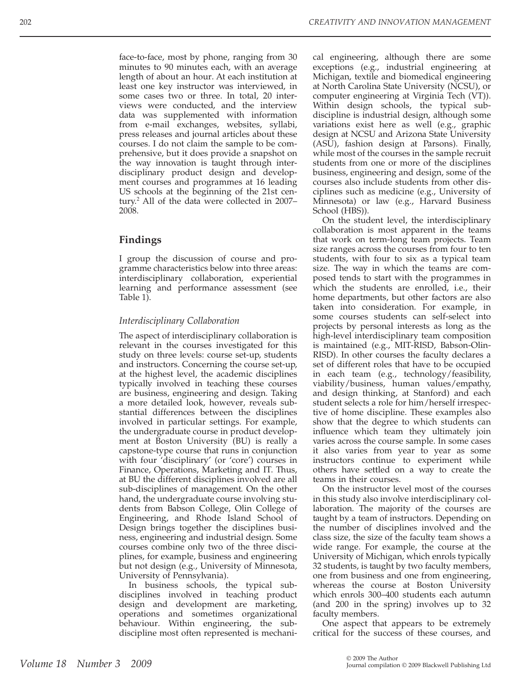face-to-face, most by phone, ranging from 30 minutes to 90 minutes each, with an average length of about an hour. At each institution at least one key instructor was interviewed, in some cases two or three. In total, 20 interviews were conducted, and the interview data was supplemented with information from e-mail exchanges, websites, syllabi, press releases and journal articles about these courses. I do not claim the sample to be comprehensive, but it does provide a snapshot on the way innovation is taught through interdisciplinary product design and development courses and programmes at 16 leading US schools at the beginning of the 21st century.2 All of the data were collected in 2007– 2008.

# **Findings**

I group the discussion of course and programme characteristics below into three areas: interdisciplinary collaboration, experiential learning and performance assessment (see Table 1).

#### *Interdisciplinary Collaboration*

The aspect of interdisciplinary collaboration is relevant in the courses investigated for this study on three levels: course set-up, students and instructors. Concerning the course set-up, at the highest level, the academic disciplines typically involved in teaching these courses are business, engineering and design. Taking a more detailed look, however, reveals substantial differences between the disciplines involved in particular settings. For example, the undergraduate course in product development at Boston University (BU) is really a capstone-type course that runs in conjunction with four 'disciplinary' (or 'core') courses in Finance, Operations, Marketing and IT. Thus, at BU the different disciplines involved are all sub-disciplines of management. On the other hand, the undergraduate course involving students from Babson College, Olin College of Engineering, and Rhode Island School of Design brings together the disciplines business, engineering and industrial design. Some courses combine only two of the three disciplines, for example, business and engineering but not design (e.g., University of Minnesota, University of Pennsylvania).

In business schools, the typical subdisciplines involved in teaching product design and development are marketing, operations and sometimes organizational behaviour. Within engineering, the subdiscipline most often represented is mechanical engineering, although there are some exceptions (e.g., industrial engineering at Michigan, textile and biomedical engineering at North Carolina State University (NCSU), or computer engineering at Virginia Tech (VT)). Within design schools, the typical subdiscipline is industrial design, although some variations exist here as well (e.g., graphic design at NCSU and Arizona State University (ASU), fashion design at Parsons). Finally, while most of the courses in the sample recruit students from one or more of the disciplines business, engineering and design, some of the courses also include students from other disciplines such as medicine (e.g., University of Minnesota) or law (e.g., Harvard Business School (HBS)).

On the student level, the interdisciplinary collaboration is most apparent in the teams that work on term-long team projects. Team size ranges across the courses from four to ten students, with four to six as a typical team size. The way in which the teams are composed tends to start with the programmes in which the students are enrolled, i.e., their home departments, but other factors are also taken into consideration. For example, in some courses students can self-select into projects by personal interests as long as the high-level interdisciplinary team composition is maintained (e.g., MIT-RISD, Babson-Olin-RISD). In other courses the faculty declares a set of different roles that have to be occupied in each team (e.g., technology/feasibility, viability/business, human values/empathy, and design thinking, at Stanford) and each student selects a role for him/herself irrespective of home discipline. These examples also show that the degree to which students can influence which team they ultimately join varies across the course sample. In some cases it also varies from year to year as some instructors continue to experiment while others have settled on a way to create the teams in their courses.

On the instructor level most of the courses in this study also involve interdisciplinary collaboration. The majority of the courses are taught by a team of instructors. Depending on the number of disciplines involved and the class size, the size of the faculty team shows a wide range. For example, the course at the University of Michigan, which enrols typically 32 students, is taught by two faculty members, one from business and one from engineering, whereas the course at Boston University which enrols 300–400 students each autumn (and 200 in the spring) involves up to 32 faculty members.

One aspect that appears to be extremely critical for the success of these courses, and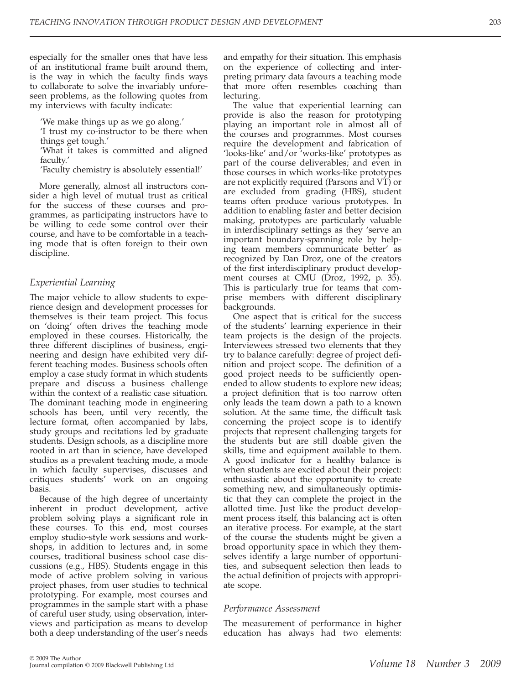especially for the smaller ones that have less of an institutional frame built around them, is the way in which the faculty finds ways to collaborate to solve the invariably unforeseen problems, as the following quotes from my interviews with faculty indicate:

'We make things up as we go along.'

'I trust my co-instructor to be there when things get tough.'

'What it takes is committed and aligned faculty.'

'Faculty chemistry is absolutely essential!'

More generally, almost all instructors consider a high level of mutual trust as critical for the success of these courses and programmes, as participating instructors have to be willing to cede some control over their course, and have to be comfortable in a teaching mode that is often foreign to their own discipline.

# *Experiential Learning*

The major vehicle to allow students to experience design and development processes for themselves is their team project. This focus on 'doing' often drives the teaching mode employed in these courses. Historically, the three different disciplines of business, engineering and design have exhibited very different teaching modes. Business schools often employ a case study format in which students prepare and discuss a business challenge within the context of a realistic case situation. The dominant teaching mode in engineering schools has been, until very recently, the lecture format, often accompanied by labs, study groups and recitations led by graduate students. Design schools, as a discipline more rooted in art than in science, have developed studios as a prevalent teaching mode, a mode in which faculty supervises, discusses and critiques students' work on an ongoing basis.

Because of the high degree of uncertainty inherent in product development, active problem solving plays a significant role in these courses. To this end, most courses employ studio-style work sessions and workshops, in addition to lectures and, in some courses, traditional business school case discussions (e.g., HBS). Students engage in this mode of active problem solving in various project phases, from user studies to technical prototyping. For example, most courses and programmes in the sample start with a phase of careful user study, using observation, interviews and participation as means to develop both a deep understanding of the user's needs and empathy for their situation. This emphasis on the experience of collecting and interpreting primary data favours a teaching mode that more often resembles coaching than lecturing.

The value that experiential learning can provide is also the reason for prototyping playing an important role in almost all of the courses and programmes. Most courses require the development and fabrication of 'looks-like' and/or 'works-like' prototypes as part of the course deliverables; and even in those courses in which works-like prototypes are not explicitly required (Parsons and VT) or are excluded from grading (HBS), student teams often produce various prototypes. In addition to enabling faster and better decision making, prototypes are particularly valuable in interdisciplinary settings as they 'serve an important boundary-spanning role by helping team members communicate better' as recognized by Dan Droz, one of the creators of the first interdisciplinary product development courses at CMU (Droz, 1992, p. 35). This is particularly true for teams that comprise members with different disciplinary backgrounds.

One aspect that is critical for the success of the students' learning experience in their team projects is the design of the projects. Interviewees stressed two elements that they try to balance carefully: degree of project definition and project scope. The definition of a good project needs to be sufficiently openended to allow students to explore new ideas; a project definition that is too narrow often only leads the team down a path to a known solution. At the same time, the difficult task concerning the project scope is to identify projects that represent challenging targets for the students but are still doable given the skills, time and equipment available to them. A good indicator for a healthy balance is when students are excited about their project: enthusiastic about the opportunity to create something new, and simultaneously optimistic that they can complete the project in the allotted time. Just like the product development process itself, this balancing act is often an iterative process. For example, at the start of the course the students might be given a broad opportunity space in which they themselves identify a large number of opportunities, and subsequent selection then leads to the actual definition of projects with appropriate scope.

#### *Performance Assessment*

The measurement of performance in higher education has always had two elements: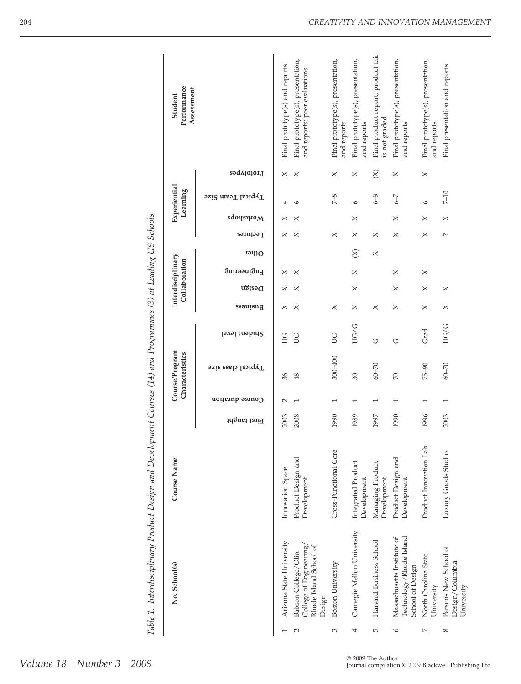|                | No. School(s)                                                                      | Course Name                       |              |                          | Course/Program<br>Characteristics |                       |          | Collaboration | Interdisciplinary |           |          | Experiential<br>Learning |                  |            | Performance<br>Assessment<br>Student                               |
|----------------|------------------------------------------------------------------------------------|-----------------------------------|--------------|--------------------------|-----------------------------------|-----------------------|----------|---------------|-------------------|-----------|----------|--------------------------|------------------|------------|--------------------------------------------------------------------|
|                |                                                                                    |                                   | First taught | Course quration          | 9sie esab laiqyT                  | I9v9l in9bui $\rm{e}$ | ssauisng | Design        | Engineering       | Other     | səmpəq   | <b>sdousy10M</b>         | 9sical Team Size | Prototypes |                                                                    |
|                | Arizona State University                                                           | Innovation Space                  | 2003         | $\sim$                   | 36                                | S                     | $\times$ | $\times$      | $\times$          |           | $\times$ | 4<br>$\times$            |                  | $\times$   | Final prototype(s) and reports                                     |
| 2              | College of Engineering,<br>Rhode Island School of<br>Babson College/Olin<br>Design | Product Design and<br>Development | 2008         | $\overline{\phantom{0}}$ | 48                                | <b>DC</b>             | $\times$ | $\times$      | $\times$          |           | $\times$ | $\circ$<br>$\times$      |                  | $\times$   | Final prototype(s), presentation,<br>and reports; peer evaluations |
| 3              | Boston University                                                                  | Cross-Functional Core             | 1990         | $\overline{\phantom{0}}$ | 300-400                           | SQ                    | $\times$ |               |                   |           | $\times$ |                          | $7 - 8$          | $\times$   | Final prototype(s), presentation,<br>and reports                   |
| 4              | Carnegie Mellon University                                                         | Integrated Product<br>Development | 1989         | $\overline{\phantom{0}}$ | $\infty$                          | UG/G                  | $\times$ | $\times$      | $\times$          | $\otimes$ | $\times$ | $\circ$<br>$\times$      |                  | $\times$   | Final prototype(s), presentation,<br>and reports                   |
| Б              | Harvard Business School                                                            | Managing Product<br>Development   | 1997         | $\overline{\phantom{0}}$ | $60 - 70$                         | U                     | $\times$ |               |                   | $\times$  | $\times$ |                          | $6-8$            | $\otimes$  | Final product report; product fair<br>is not graded                |
| $\circ$        | Technology/Rhode Island<br>Massachusetts Institute of<br>School of Design          | Product Design and<br>Development | 1990         |                          | $\approx$                         | U                     | $\times$ | $\times$      | $\times$          |           | $\times$ | $\times$                 | $5 - 6$          | $\times$   | Final prototype(s), presentation,<br>and reports                   |
| $\overline{ }$ | North Carolina State<br>University                                                 | Product Innovation Lab            | 1996         | I                        | $75 - 90$                         | Grad                  | $\times$ | $\times$      | $\times$          |           | $\times$ | $\circ$<br>$\times$      |                  | $\times$   | Final prototype(s), presentation,<br>and reports                   |
| $^{\circ}$     | Parsons New School of<br>Design/Columbia<br>University                             | Luxury Goods Studio               | 2003         | $\overline{\phantom{0}}$ | $60 - 70$                         | UG/G                  | $\times$ | $\times$      |                   |           | $\sim$   | $\times$                 | $7 - 10$         |            | Final presentation and reports                                     |

Table 1. Interdisciplinary Product Design and Development Courses (14) and Programmes (3) at Leading US Schools Table 1. Interdisciplinary Product Design and Development Courses (14) and Programmes (3) at Leading US Schools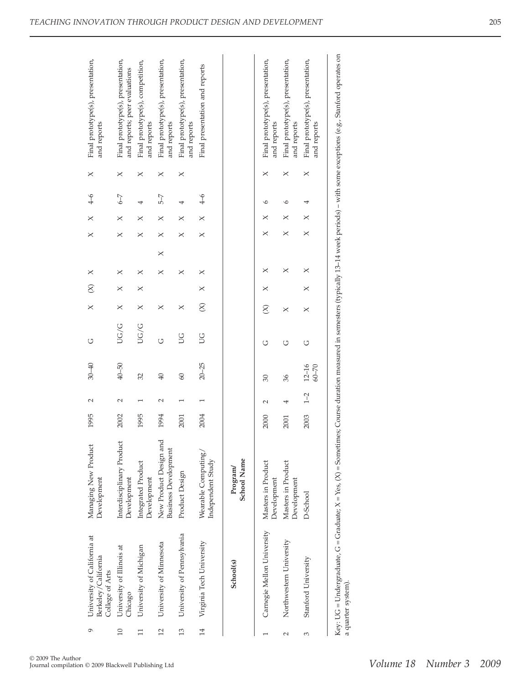| Final prototype(s), presentation,<br>and reports<br>$\times$<br>$\frac{4}{6}$ | Final prototype(s), presentation,<br>and reports; peer evaluations<br>$\times$<br>$\zeta$ -5 | Final prototype(s), competition,<br>and reports<br>$\times$<br>4 | Final prototype(s), presentation,<br>and reports<br>$\times$<br>5-7 | Final prototype(s), presentation,<br>and reports<br>$\times$<br>4 | Final presentation and reports<br>$rac{4}{6}$ |                               | Final prototype(s), presentation,<br>and reports<br>$\times$<br>$\circ$ | Final prototype(s), presentation,<br>and reports<br>$\times$<br>$\circ$ | Final prototype(s), presentation,<br>and reports<br>$\times$<br>4 |  |
|-------------------------------------------------------------------------------|----------------------------------------------------------------------------------------------|------------------------------------------------------------------|---------------------------------------------------------------------|-------------------------------------------------------------------|-----------------------------------------------|-------------------------------|-------------------------------------------------------------------------|-------------------------------------------------------------------------|-------------------------------------------------------------------|--|
| $\times$                                                                      | $\times$                                                                                     | $\times$                                                         | $\times$                                                            | $\times$                                                          | $\times$                                      |                               | $\times$                                                                | $\times$                                                                | $\times$                                                          |  |
| $\times$                                                                      | $\times$                                                                                     | $\times$                                                         | $\times$                                                            | $\times$                                                          | $\times$                                      |                               | $\times$                                                                | $\times$                                                                | $\times$                                                          |  |
|                                                                               |                                                                                              |                                                                  | $\times$                                                            |                                                                   |                                               |                               |                                                                         |                                                                         |                                                                   |  |
| $\times$                                                                      | $\times$                                                                                     | $\times$                                                         | $\times$                                                            | $\times$                                                          | $\times$                                      |                               | $\times$                                                                | $\times$                                                                | $\times$                                                          |  |
| $\otimes$                                                                     | $\times$                                                                                     | $\times$                                                         |                                                                     |                                                                   | $\times$                                      |                               | $\times$                                                                |                                                                         | $\times$                                                          |  |
| $\times$                                                                      | $\times$                                                                                     | $\times$                                                         | $\times$                                                            | $\times$                                                          | $\otimes$                                     |                               | $\widehat{\otimes}$                                                     | $\times$                                                                | $\times$                                                          |  |
| U                                                                             | UG/G                                                                                         | UG/G                                                             | U                                                                   | <b>UG</b>                                                         | <b>UG</b>                                     |                               | U                                                                       | U                                                                       | U                                                                 |  |
| $30 - 40$                                                                     | $40 - 50$                                                                                    | 32                                                               | $\overline{40}$                                                     | 60                                                                | $20 - 25$                                     |                               | 30                                                                      | 36                                                                      | $12 - 16$<br>60-70                                                |  |
| $\sim$                                                                        | 2                                                                                            |                                                                  | 2                                                                   |                                                                   |                                               |                               | $\sim$                                                                  | 4                                                                       | $1 - 2$                                                           |  |
| 1995                                                                          | 2002                                                                                         | 1995                                                             | 1994                                                                | 2001                                                              | 2004                                          |                               | 2000                                                                    | 2001                                                                    | 2003                                                              |  |
| Managing New Product<br>Development                                           | Interdisciplinary Product<br>Development                                                     | Integrated Product<br>Development                                | New Product Design and<br><b>Business Development</b>               | Product Design                                                    | Wearable Computing/<br>Independent Study      | <b>School Name</b><br>Program | Masters in Product<br>Development                                       | Masters in Product<br>Development                                       | D-School                                                          |  |
| University of California at<br>Berkeley/California<br>College of Arts         | University of Illinois at<br>Chicago                                                         | University of Michigan                                           | University of Minnesota                                             | University of Pennsylvania                                        | Virginia Tech University                      | School(s)                     | Carnegie Mellon University                                              | Northwestern University                                                 | Stanford University                                               |  |
| Ó                                                                             | $\Xi$                                                                                        |                                                                  | $\overline{2}$                                                      | $\overline{13}$                                                   | $\overline{14}$                               |                               |                                                                         |                                                                         |                                                                   |  |

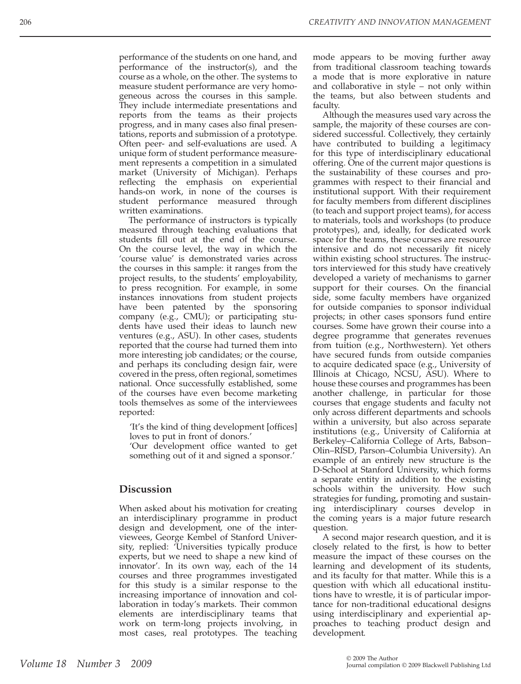performance of the students on one hand, and performance of the instructor(s), and the course as a whole, on the other. The systems to measure student performance are very homogeneous across the courses in this sample. They include intermediate presentations and reports from the teams as their projects progress, and in many cases also final presentations, reports and submission of a prototype. Often peer- and self-evaluations are used. A unique form of student performance measurement represents a competition in a simulated market (University of Michigan). Perhaps reflecting the emphasis on experiential hands-on work, in none of the courses is student performance measured through written examinations.

The performance of instructors is typically measured through teaching evaluations that students fill out at the end of the course. On the course level, the way in which the 'course value' is demonstrated varies across the courses in this sample: it ranges from the project results, to the students' employability, to press recognition. For example, in some instances innovations from student projects have been patented by the sponsoring company (e.g., CMU); or participating students have used their ideas to launch new ventures (e.g., ASU). In other cases, students reported that the course had turned them into more interesting job candidates; or the course, and perhaps its concluding design fair, were covered in the press, often regional, sometimes national. Once successfully established, some of the courses have even become marketing tools themselves as some of the interviewees reported:

'It's the kind of thing development [offices] loves to put in front of donors.'

'Our development office wanted to get something out of it and signed a sponsor.'

# **Discussion**

When asked about his motivation for creating an interdisciplinary programme in product design and development, one of the interviewees, George Kembel of Stanford University, replied: 'Universities typically produce experts, but we need to shape a new kind of innovator'. In its own way, each of the 14 courses and three programmes investigated for this study is a similar response to the increasing importance of innovation and collaboration in today's markets. Their common elements are interdisciplinary teams that work on term-long projects involving, in most cases, real prototypes. The teaching

mode appears to be moving further away from traditional classroom teaching towards a mode that is more explorative in nature and collaborative in style – not only within the teams, but also between students and faculty.

Although the measures used vary across the sample, the majority of these courses are considered successful. Collectively, they certainly have contributed to building a legitimacy for this type of interdisciplinary educational offering. One of the current major questions is the sustainability of these courses and programmes with respect to their financial and institutional support. With their requirement for faculty members from different disciplines (to teach and support project teams), for access to materials, tools and workshops (to produce prototypes), and, ideally, for dedicated work space for the teams, these courses are resource intensive and do not necessarily fit nicely within existing school structures. The instructors interviewed for this study have creatively developed a variety of mechanisms to garner support for their courses. On the financial side, some faculty members have organized for outside companies to sponsor individual projects; in other cases sponsors fund entire courses. Some have grown their course into a degree programme that generates revenues from tuition (e.g., Northwestern). Yet others have secured funds from outside companies to acquire dedicated space (e.g., University of Illinois at Chicago, NCSU, ASU). Where to house these courses and programmes has been another challenge, in particular for those courses that engage students and faculty not only across different departments and schools within a university, but also across separate institutions (e.g., University of California at Berkeley–California College of Arts, Babson– Olin–RISD, Parson–Columbia University). An example of an entirely new structure is the D-School at Stanford University, which forms a separate entity in addition to the existing schools within the university. How such strategies for funding, promoting and sustaining interdisciplinary courses develop in the coming years is a major future research question.

A second major research question, and it is closely related to the first, is how to better measure the impact of these courses on the learning and development of its students, and its faculty for that matter. While this is a question with which all educational institutions have to wrestle, it is of particular importance for non-traditional educational designs using interdisciplinary and experiential approaches to teaching product design and development.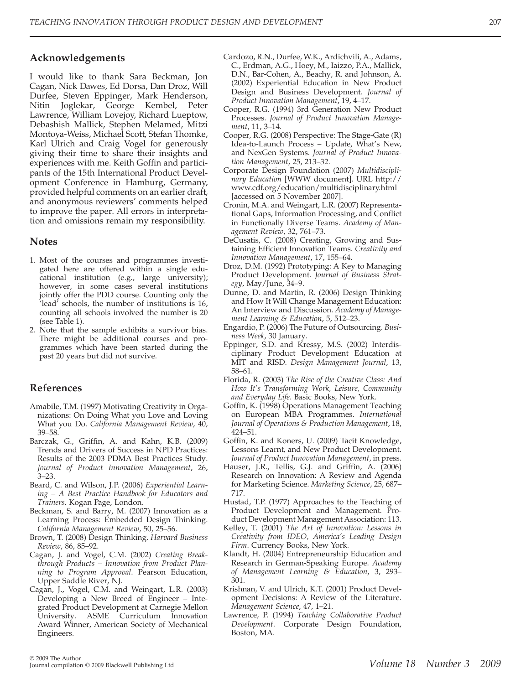# **Acknowledgements**

I would like to thank Sara Beckman, Jon Cagan, Nick Dawes, Ed Dorsa, Dan Droz, Will Durfee, Steven Eppinger, Mark Henderson, Nitin Joglekar, George Kembel, Peter Lawrence, William Lovejoy, Richard Lueptow, Debashish Mallick, Stephen Melamed, Mitzi Montoya-Weiss, Michael Scott, Stefan Thomke, Karl Ulrich and Craig Vogel for generously giving their time to share their insights and experiences with me. Keith Goffin and participants of the 15th International Product Development Conference in Hamburg, Germany, provided helpful comments on an earlier draft, and anonymous reviewers' comments helped to improve the paper. All errors in interpretation and omissions remain my responsibility.

# **Notes**

- 1. Most of the courses and programmes investigated here are offered within a single educational institution (e.g., large university); however, in some cases several institutions jointly offer the PDD course. Counting only the 'lead' schools, the number of institutions is 16, counting all schools involved the number is 20 (see Table 1).
- 2. Note that the sample exhibits a survivor bias. There might be additional courses and programmes which have been started during the past 20 years but did not survive.

# **References**

- Amabile, T.M. (1997) Motivating Creativity in Organizations: On Doing What you Love and Loving What you Do. *California Management Review*, 40, 39–58.
- Barczak, G., Griffin, A. and Kahn, K.B. (2009) Trends and Drivers of Success in NPD Practices: Results of the 2003 PDMA Best Practices Study. *Journal of Product Innovation Management*, 26, 3–23.
- Beard, C. and Wilson, J.P. (2006) *Experiential Learning – A Best Practice Handbook for Educators and Trainers*. Kogan Page, London.
- Beckman, S. and Barry, M. (2007) Innovation as a Learning Process: Embedded Design Thinking. *California Management Review*, 50, 25–56.
- Brown, T. (2008) Design Thinking. *Harvard Business Review*, 86, 85–92.
- Cagan, J. and Vogel, C.M. (2002) *Creating Breakthrough Products – Innovation from Product Planning to Program Approval*. Pearson Education, Upper Saddle River, NJ.
- Cagan, J., Vogel, C.M. and Weingart, L.R. (2003) Developing a New Breed of Engineer – Integrated Product Development at Carnegie Mellon University. ASME Curriculum Innovation Award Winner, American Society of Mechanical Engineers.
- Cardozo, R.N., Durfee, W.K., Ardichvili, A., Adams, C., Erdman, A.G., Hoey, M., Iaizzo, P.A., Mallick, D.N., Bar-Cohen, A., Beachy, R. and Johnson, A. (2002) Experiential Education in New Product Design and Business Development. *Journal of Product Innovation Management*, 19, 4–17.
- Cooper, R.G. (1994) 3rd Generation New Product Processes. *Journal of Product Innovation Management*, 11, 3–14.
- Cooper, R.G. (2008) Perspective: The Stage-Gate (R) Idea-to-Launch Process – Update, What's New, and NexGen Systems. *Journal of Product Innovation Management*, 25, 213–32.
- Corporate Design Foundation (2007) *Multidisciplinary Education* [WWW document]. URL http:// www.cdf.org/education/multidisciplinary.html [accessed on 5 November 2007].
- Cronin, M.A. and Weingart, L.R. (2007) Representational Gaps, Information Processing, and Conflict in Functionally Diverse Teams. *Academy of Management Review*, 32, 761–73.
- DeCusatis, C. (2008) Creating, Growing and Sustaining Efficient Innovation Teams. *Creativity and Innovation Management*, 17, 155–64.
- Droz, D.M. (1992) Prototyping: A Key to Managing Product Development. *Journal of Business Strategy*, May/June, 34–9.
- Dunne, D. and Martin, R. (2006) Design Thinking and How It Will Change Management Education: An Interview and Discussion. *Academy of Management Learning & Education*, 5, 512–23.
- Engardio, P. (2006) The Future of Outsourcing. *Business Week*, 30 January.
- Eppinger, S.D. and Kressy, M.S. (2002) Interdisciplinary Product Development Education at MIT and RISD. *Design Management Journal*, 13, 58–61.
- Florida, R. (2003) *The Rise of the Creative Class: And How It's Transforming Work, Leisure, Community and Everyday Life*. Basic Books, New York.
- Goffin, K. (1998) Operations Management Teaching on European MBA Programmes. *International Journal of Operations & Production Management*, 18, 424–51.
- Goffin, K. and Koners, U. (2009) Tacit Knowledge, Lessons Learnt, and New Product Development. *Journal of Product Innovation Management*, in press.
- Hauser, J.R., Tellis, G.J. and Griffin, A. (2006) Research on Innovation: A Review and Agenda for Marketing Science. *Marketing Science*, 25, 687– 717.
- Hustad, T.P. (1977) Approaches to the Teaching of Product Development and Management. Product Development Management Association: 113.
- Kelley, T. (2001) *The Art of Innovation: Lessons in Creativity from IDEO, America's Leading Design Firm*. Currency Books, New York.
- Klandt, H. (2004) Entrepreneurship Education and Research in German-Speaking Europe. *Academy of Management Learning & Education*, 3, 293– 301.
- Krishnan, V. and Ulrich, K.T. (2001) Product Development Decisions: A Review of the Literature. *Management Science*, 47, 1–21.
- Lawrence, P. (1994) *Teaching Collaborative Product Development*. Corporate Design Foundation, Boston, MA.